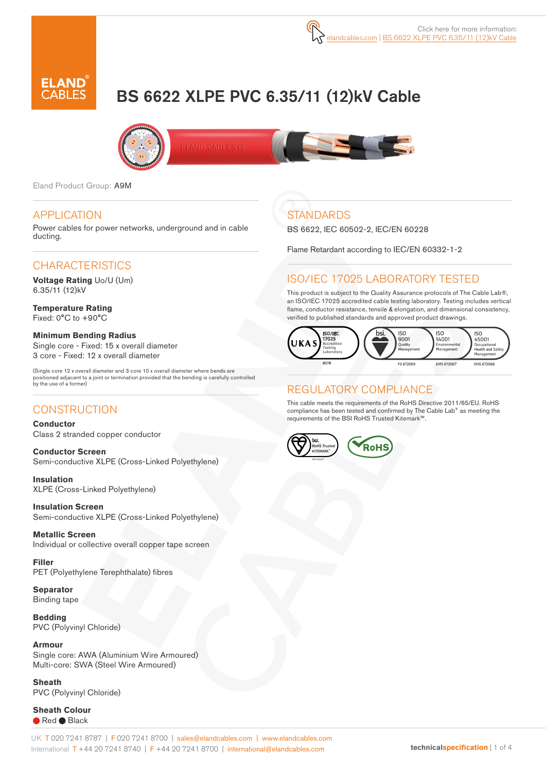# BS 6622 XLPE PVC 6.35/11 (12)kV Cable





Eland Product Group: A9M

#### APPLICATION

Power cables for power networks, underground and in cable ducting.

# **CHARACTERISTICS**

**Voltage Rating** Uo/U (Um) 6.35/11 (12)kV

**Temperature Rating** Fixed: 0°C to +90°C

**Minimum Bending Radius**  Single core - Fixed: 15 x overall diameter 3 core - Fixed: 12 x overall diameter

(Single core 12 x overall diameter and 3 core 10 x overall diameter where bends are positioned adjacent to a joint or termination provided that the bending is carefully controlled by the use of a former)

#### **CONSTRUCTION**

**Conductor** Class 2 stranded copper conductor

**Conductor Screen** Semi-conductive XLPE (Cross-Linked Polyethylene)

**Insulation** XLPE (Cross-Linked Polyethylene)

**Insulation Screen** Semi-conductive XLPE (Cross-Linked Polyethylene)

**Metallic Screen** Individual or collective overall copper tape screen

**Filler** PET (Polyethylene Terephthalate) fibres

**Separator** Binding tape

**Bedding** PVC (Polyvinyl Chloride)

**Armour** Single core: AWA (Aluminium Wire Armoured) Multi-core: SWA (Steel Wire Armoured)

**Sheath**  PVC (Polyvinyl Chloride)

**Sheath Colour** Red Black

# **STANDARDS**

BS 6622, IEC 60502-2, IEC/EN 60228

Flame Retardant according to IEC/EN 60332-1-2

# ISO/IEC 17025 LABORATORY TESTED

This product is subject to the Quality Assurance protocols of The Cable Lab®, an ISO/IEC 17025 accredited cable testing laboratory. Testing includes vertical flame, conductor resistance, tensile & elongation, and dimensional consistency, verified to published standards and approved product drawings.



#### REGULATORY COMPLIANCE

This cable meets the requirements of the RoHS Directive 2011/65/EU. RoHS compliance has been tested and confirmed by The Cable Lab® as meeting the requirements of the BSI RoHS Trusted Kitemark™.

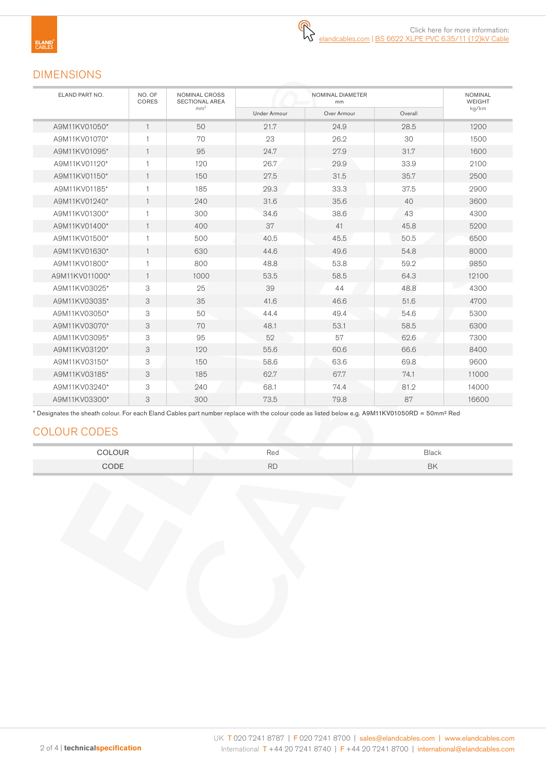# DIMENSIONS

| ELAND PART NO. | NO. OF<br>CORES | NOMINAL CROSS<br><b>SECTIONAL AREA</b> |              | <b>NOMINAL</b><br><b>WEIGHT</b> |         |       |
|----------------|-----------------|----------------------------------------|--------------|---------------------------------|---------|-------|
|                |                 | mm <sup>2</sup>                        | Under Armour | Over Armour                     | Overall | kg/km |
| A9M11KV01050*  | $\mathbf{1}$    | 50                                     | 21.7         | 24.9                            | 28.5    | 1200  |
| A9M11KV01070*  |                 | 70                                     | 23           | 26.2                            | 30      | 1500  |
| A9M11KV01095*  | $\mathbf{1}$    | 95                                     | 24.7         | 27.9                            | 31.7    | 1600  |
| A9M11KV01120*  | 1               | 120                                    | 26.7         | 29.9                            | 33.9    | 2100  |
| A9M11KV01150*  | $\mathbf{1}$    | 150                                    | 27.5         | 31.5                            | 35.7    | 2500  |
| A9M11KV01185*  | 1               | 185                                    | 29.3         | 33.3                            | 37.5    | 2900  |
| A9M11KV01240*  | $\mathbf{1}$    | 240                                    | 31.6         | 35.6                            | 40      | 3600  |
| A9M11KV01300*  | 1               | 300                                    | 34.6         | 38.6                            | 43      | 4300  |
| A9M11KV01400*  | $\mathbf{1}$    | 400                                    | 37           | 41                              | 45.8    | 5200  |
| A9M11KV01500*  | $\mathbf{1}$    | 500                                    | 40.5         | 45.5                            | 50.5    | 6500  |
| A9M11KV01630*  | $\mathbf{1}$    | 630                                    | 44.6         | 49.6                            | 54.8    | 8000  |
| A9M11KV01800*  | $\mathbf{1}$    | 800                                    | 48.8         | 53.8                            | 59.2    | 9850  |
| A9M11KV011000* | $\mathbf{1}$    | 1000                                   | 53.5         | 58.5                            | 64.3    | 12100 |
| A9M11KV03025*  | 3               | 25                                     | 39           | 44                              | 48.8    | 4300  |
| A9M11KV03035*  | 3               | 35                                     | 41.6         | 46.6                            | 51.6    | 4700  |
| A9M11KV03050*  | 3               | 50                                     | 44.4         | 49.4                            | 54.6    | 5300  |
| A9M11KV03070*  | 3               | 70                                     | 48.1         | 53.1                            | 58.5    | 6300  |
| A9M11KV03095*  | 3               | 95                                     | 52           | 57                              | 62.6    | 7300  |
| A9M11KV03120*  | 3               | 120                                    | 55.6         | 60.6                            | 66.6    | 8400  |
| A9M11KV03150*  | 3               | 150                                    | 58.6         | 63.6                            | 69.8    | 9600  |
| A9M11KV03185*  | 3               | 185                                    | 62.7         | 67.7                            | 74.1    | 11000 |
| A9M11KV03240*  | 3               | 240                                    | 68.1         | 74.4                            | 81.2    | 14000 |
| A9M11KV03300*  | 3               | 300                                    | 73.5         | 79.8                            | 87      | 16600 |

\* Designates the sheath colour. For each Eland Cables part number replace with the colour code as listed below e.g. A9M11KV01050RD = 50mm² Red

# COLOUR CODES

| COLOUR | Red       | Black |
|--------|-----------|-------|
| CODE   | <b>RD</b> | BK    |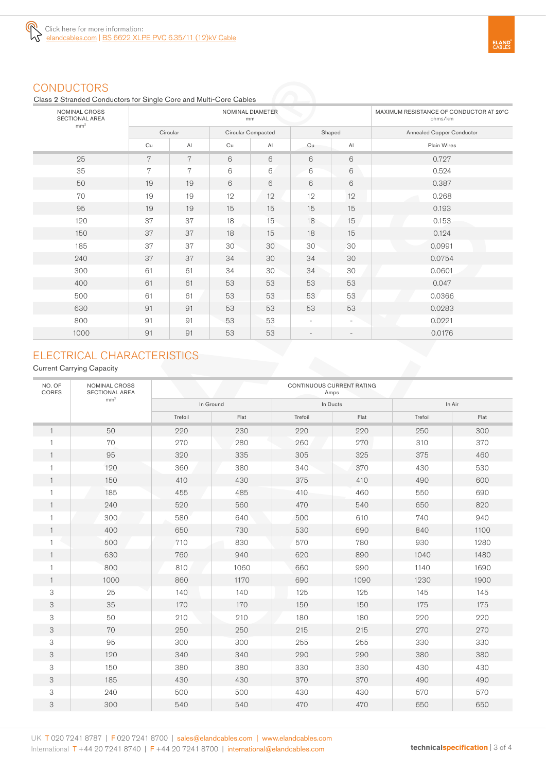

# **CONDUCTORS**

Class 2 Stranded Conductors for Single Core and Multi-Core Cables

| NOMINAL CROSS<br><b>SECTIONAL AREA</b><br>mm <sup>2</sup> |    |               | NOMINAL DIAMETER<br>mm | MAXIMUM RESISTANCE OF CONDUCTOR AT 20°C<br>ohms/km |                          |                          |                                  |
|-----------------------------------------------------------|----|---------------|------------------------|----------------------------------------------------|--------------------------|--------------------------|----------------------------------|
|                                                           |    | Circular      |                        | Circular Compacted                                 |                          | Shaped                   | <b>Annealed Copper Conductor</b> |
|                                                           | Cu | $\mathsf{Al}$ | Cu                     | AI                                                 | Cu                       | $\mathsf{A}$             | Plain Wires                      |
| 25                                                        | 7  | 7             | 6                      | 6                                                  | 6                        | 6                        | 0.727                            |
| 35                                                        | 7  | 7             | $6\,$                  | 6                                                  | 6                        | 6                        | 0.524                            |
| 50                                                        | 19 | 19            | 6                      | 6                                                  | 6                        | 6                        | 0.387                            |
| 70                                                        | 19 | 19            | 12                     | 12                                                 | 12                       | 12                       | 0.268                            |
| 95                                                        | 19 | 19            | 15                     | 15                                                 | 15                       | 15                       | 0.193                            |
| 120                                                       | 37 | 37            | 18                     | 15                                                 | 18                       | 15                       | 0.153                            |
| 150                                                       | 37 | 37            | 18                     | 15                                                 | 18                       | 15                       | 0.124                            |
| 185                                                       | 37 | 37            | 30                     | 30                                                 | 30                       | 30                       | 0.0991                           |
| 240                                                       | 37 | 37            | 34                     | 30                                                 | 34                       | 30                       | 0.0754                           |
| 300                                                       | 61 | 61            | 34                     | 30                                                 | 34                       | 30                       | 0.0601                           |
| 400                                                       | 61 | 61            | 53                     | 53                                                 | 53                       | 53                       | 0.047                            |
| 500                                                       | 61 | 61            | 53                     | 53                                                 | 53                       | 53                       | 0.0366                           |
| 630                                                       | 91 | 91            | 53                     | 53                                                 | 53                       | 53                       | 0.0283                           |
| 800                                                       | 91 | 91            | 53                     | 53                                                 | $\overline{\phantom{a}}$ | $\overline{\phantom{a}}$ | 0.0221                           |
| 1000                                                      | 91 | 91            | 53                     | 53                                                 | $\overline{\phantom{a}}$ | $\overline{\phantom{a}}$ | 0.0176                           |

# ELECTRICAL CHARACTERISTICS

Current Carrying Capacity

| NO. OF<br>CORES | NOMINAL CROSS<br><b>SECTIONAL AREA</b> | CONTINUOUS CURRENT RATING<br>Amps |      |          |      |         |      |  |  |
|-----------------|----------------------------------------|-----------------------------------|------|----------|------|---------|------|--|--|
|                 | mm <sup>2</sup>                        | In Ground                         |      | In Ducts |      | In Air  |      |  |  |
|                 |                                        | Trefoil                           | Flat | Trefoil  | Flat | Trefoil | Flat |  |  |
| 1               | 50                                     | 220                               | 230  | 220      | 220  | 250     | 300  |  |  |
|                 | 70                                     | 270                               | 280  | 260      | 270  | 310     | 370  |  |  |
| $\mathbf{1}$    | 95                                     | 320                               | 335  | 305      | 325  | 375     | 460  |  |  |
| $\mathbf{1}$    | 120                                    | 360                               | 380  | 340      | 370  | 430     | 530  |  |  |
| $\mathbf{1}$    | 150                                    | 410                               | 430  | 375      | 410  | 490     | 600  |  |  |
| 1               | 185                                    | 455                               | 485  | 410      | 460  | 550     | 690  |  |  |
| $\mathbf{1}$    | 240                                    | 520                               | 560  | 470      | 540  | 650     | 820  |  |  |
|                 | 300                                    | 580                               | 640  | 500      | 610  | 740     | 940  |  |  |
|                 | 400                                    | 650                               | 730  | 530      | 690  | 840     | 1100 |  |  |
|                 | 500                                    | 710                               | 830  | 570      | 780  | 930     | 1280 |  |  |
|                 | 630                                    | 760                               | 940  | 620      | 890  | 1040    | 1480 |  |  |
|                 | 800                                    | 810                               | 1060 | 660      | 990  | 1140    | 1690 |  |  |
|                 | 1000                                   | 860                               | 1170 | 690      | 1090 | 1230    | 1900 |  |  |
| 3               | 25                                     | 140                               | 140  | 125      | 125  | 145     | 145  |  |  |
| 3               | 35                                     | 170                               | 170  | 150      | 150  | 175     | 175  |  |  |
| 3               | 50                                     | 210                               | 210  | 180      | 180  | 220     | 220  |  |  |
| 3               | 70                                     | 250                               | 250  | 215      | 215  | 270     | 270  |  |  |
| 3               | 95                                     | 300                               | 300  | 255      | 255  | 330     | 330  |  |  |
| 3               | 120                                    | 340                               | 340  | 290      | 290  | 380     | 380  |  |  |
| 3               | 150                                    | 380                               | 380  | 330      | 330  | 430     | 430  |  |  |
| 3               | 185                                    | 430                               | 430  | 370      | 370  | 490     | 490  |  |  |
| 3               | 240                                    | 500                               | 500  | 430      | 430  | 570     | 570  |  |  |
| 3               | 300                                    | 540                               | 540  | 470      | 470  | 650     | 650  |  |  |